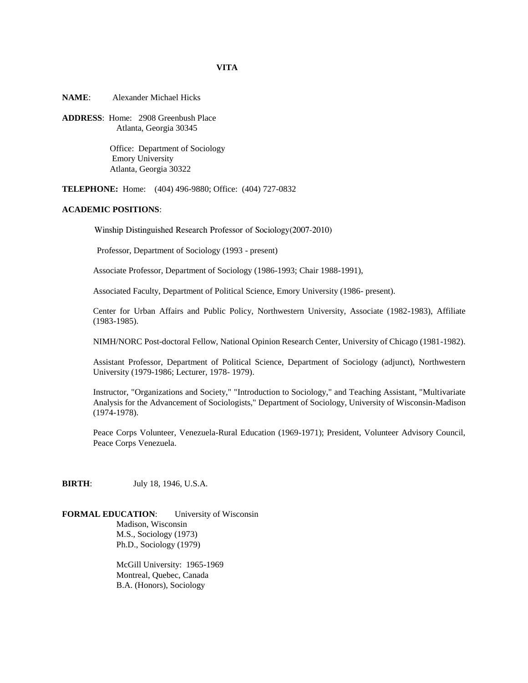**NAME**: Alexander Michael Hicks

**ADDRESS**: Home: 2908 Greenbush Place Atlanta, Georgia 30345

> Office: Department of Sociology Emory University Atlanta, Georgia 30322

**TELEPHONE:** Home: (404) 496-9880; Office: (404) 727-0832

# **ACADEMIC POSITIONS**:

Winship Distinguished Research Professor of Sociology(2007-2010)

Professor, Department of Sociology (1993 - present)

Associate Professor, Department of Sociology (1986-1993; Chair 1988-1991),

Associated Faculty, Department of Political Science, Emory University (1986- present).

Center for Urban Affairs and Public Policy, Northwestern University, Associate (1982-1983), Affiliate (1983-1985).

NIMH/NORC Post-doctoral Fellow, National Opinion Research Center, University of Chicago (1981-1982).

Assistant Professor, Department of Political Science, Department of Sociology (adjunct), Northwestern University (1979-1986; Lecturer, 1978- 1979).

Instructor, "Organizations and Society," "Introduction to Sociology," and Teaching Assistant, "Multivariate Analysis for the Advancement of Sociologists," Department of Sociology, University of Wisconsin-Madison (1974-1978).

Peace Corps Volunteer, Venezuela-Rural Education (1969-1971); President, Volunteer Advisory Council, Peace Corps Venezuela.

**BIRTH**: July 18, 1946, U.S.A.

**FORMAL EDUCATION**: University of Wisconsin Madison, Wisconsin M.S., Sociology (1973) Ph.D., Sociology (1979)

> McGill University: 1965-1969 Montreal, Quebec, Canada B.A. (Honors), Sociology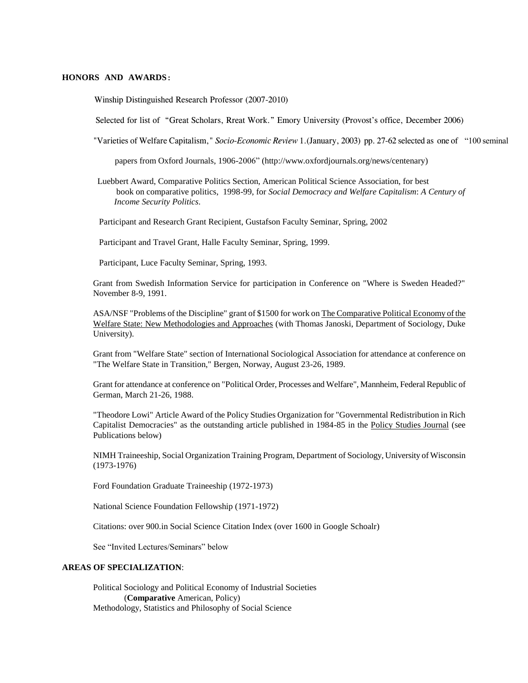# **HONORS AND AWARDS**:

Winship Distinguished Research Professor (2007-2010)

Selected for list of "Great Scholars, Rreat Work." Emory University (Provost's office, December 2006)

"Varieties of Welfare Capitalism," *Socio-Economic Review* 1.(January, 2003) pp. 27-62 selected as one of "100 seminal

papers from Oxford Journals, 1906-2006" (http://www.oxfordjournals.org/news/centenary)

 Luebbert Award, Comparative Politics Section, American Political Science Association, for best book on comparative politics, 1998-99, for *Social Democracy and Welfare Capitalism*: *A Century of Income Security Politics*.

Participant and Research Grant Recipient, Gustafson Faculty Seminar, Spring, 2002

Participant and Travel Grant, Halle Faculty Seminar, Spring, 1999.

Participant, Luce Faculty Seminar, Spring, 1993.

Grant from Swedish Information Service for participation in Conference on "Where is Sweden Headed?" November 8-9, 1991.

ASA/NSF "Problems of the Discipline" grant of \$1500 for work on The Comparative Political Economy of the Welfare State: New Methodologies and Approaches (with Thomas Janoski, Department of Sociology, Duke University).

Grant from "Welfare State" section of International Sociological Association for attendance at conference on "The Welfare State in Transition," Bergen, Norway, August 23-26, 1989.

Grant for attendance at conference on "Political Order, Processes and Welfare", Mannheim, Federal Republic of German, March 21-26, 1988.

"Theodore Lowi" Article Award of the Policy Studies Organization for "Governmental Redistribution in Rich Capitalist Democracies" as the outstanding article published in 1984-85 in the Policy Studies Journal (see Publications below)

NIMH Traineeship, Social Organization Training Program, Department of Sociology, University of Wisconsin (1973-1976)

Ford Foundation Graduate Traineeship (1972-1973)

National Science Foundation Fellowship (1971-1972)

Citations: over 900.in Social Science Citation Index (over 1600 in Google Schoalr)

See "Invited Lectures/Seminars" below

### **AREAS OF SPECIALIZATION**:

Political Sociology and Political Economy of Industrial Societies (**Comparative** American, Policy) Methodology, Statistics and Philosophy of Social Science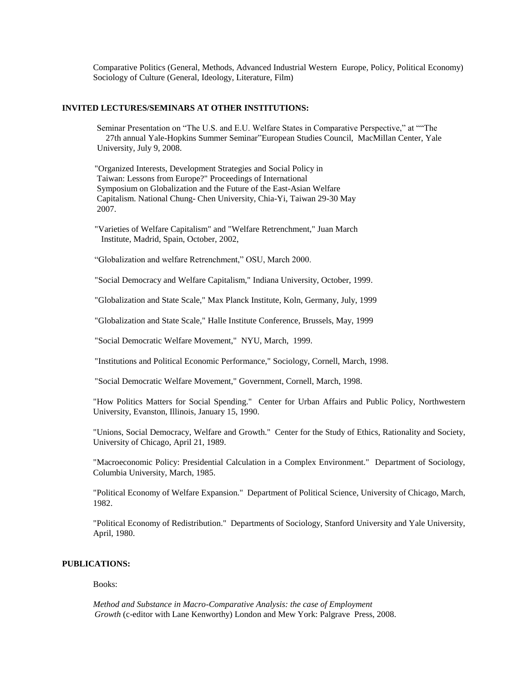Comparative Politics (General, Methods, Advanced Industrial Western Europe, Policy, Political Economy) Sociology of Culture (General, Ideology, Literature, Film)

### **INVITED LECTURES/SEMINARS AT OTHER INSTITUTIONS:**

Seminar Presentation on "The U.S. and E.U. Welfare States in Comparative Perspective," at ""The 27th annual Yale-Hopkins Summer Seminar"European Studies Council, MacMillan Center, Yale University, July 9, 2008.

 "Organized Interests, Development Strategies and Social Policy in Taiwan: Lessons from Europe?" Proceedings of International Symposium on Globalization and the Future of the East-Asian Welfare Capitalism. National Chung- Chen University, Chia-Yi, Taiwan 29-30 May 2007.

 "Varieties of Welfare Capitalism" and "Welfare Retrenchment," Juan March Institute, Madrid, Spain, October, 2002,

"Globalization and welfare Retrenchment," OSU, March 2000.

"Social Democracy and Welfare Capitalism," Indiana University, October, 1999.

"Globalization and State Scale," Max Planck Institute, Koln, Germany, July, 1999

"Globalization and State Scale," Halle Institute Conference, Brussels, May, 1999

"Social Democratic Welfare Movement," NYU, March, 1999.

"Institutions and Political Economic Performance," Sociology, Cornell, March, 1998.

"Social Democratic Welfare Movement," Government, Cornell, March, 1998.

"How Politics Matters for Social Spending." Center for Urban Affairs and Public Policy, Northwestern University, Evanston, Illinois, January 15, 1990.

"Unions, Social Democracy, Welfare and Growth." Center for the Study of Ethics, Rationality and Society, University of Chicago, April 21, 1989.

"Macroeconomic Policy: Presidential Calculation in a Complex Environment." Department of Sociology, Columbia University, March, 1985.

"Political Economy of Welfare Expansion." Department of Political Science, University of Chicago, March, 1982.

"Political Economy of Redistribution." Departments of Sociology, Stanford University and Yale University, April, 1980.

# **PUBLICATIONS:**

Books:

 *Method and Substance in Macro-Comparative Analysis: the case of Employment Growth* (c-editor with Lane Kenworthy) London and Mew York: Palgrave Press, 2008.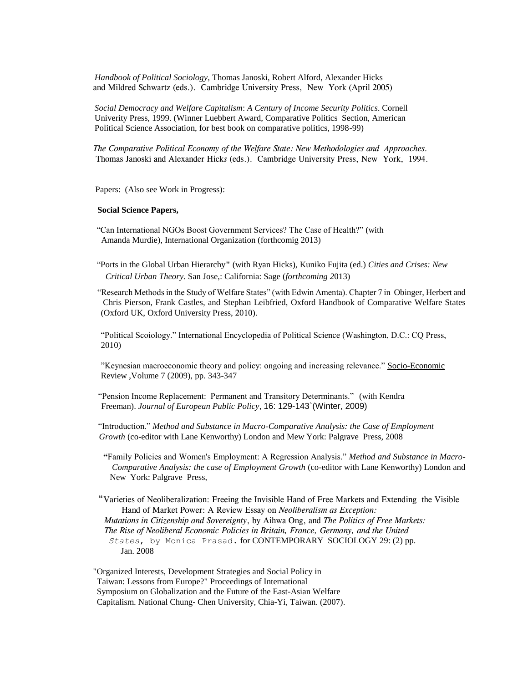*Handbook of Political Sociology,* Thomas Janoski, Robert Alford, Alexander Hicks and Mildred Schwartz (eds.). Cambridge University Press, New York (April 2005)

 *Social Democracy and Welfare Capitalism*: *A Century of Income Security Politics*. Cornell Univerity Press, 1999. (Winner Luebbert Award, Comparative Politics Section, American Political Science Association, for best book on comparative politics, 1998-99)

*The Comparative Political Economy of the Welfare State: New Methodologies and Approaches.*  Thomas Janoski and Alexander Hick*s* (eds.). Cambridge University Press, New York, 1994.

Papers: (Also see Work in Progress):

## **Social Science Papers,**

 "Can International NGOs Boost Government Services? The Case of Health?" (with Amanda Murdie), International Organization (forthcomig 2013)

 "Ports in the Global Urban Hierarchy**"** (with Ryan Hicks), Kuniko Fujita (ed.) *Cities and Crises: New Critical Urban Theory*. San Jose,: California: Sage (*forthcoming 2*013)

"Research Methods in the Study of Welfare States" (with Edwin Amenta). Chapter 7 in Obinger, Herbert and Chris Pierson, Frank Castles, and Stephan Leibfried, Oxford Handbook of Comparative Welfare States (Oxford UK, Oxford University Press, 2010).

"Political Scoiology." International Encyclopedia of Political Science (Washington, D.C.: CQ Press, 2010)

"Keynesian macroeconomic theory and policy: ongoing and increasing relevance." [Socio-Economic](http://ser.oxfordjournals.org/)  [Review](http://ser.oxfordjournals.org/) [,Volume 7 \(2009\),](http://ser.oxfordjournals.org/content/vol7/issue2/index.dtl) pp. 343-347

"Pension Income Replacement: Permanent and Transitory Determinants." (with Kendra Freeman). *Journal of European Public Policy*, 16: 129-143`(Winter, 2009)

"Introduction." *Method and Substance in Macro-Comparative Analysis: the Case of Employment Growth* (co-editor with Lane Kenworthy) London and Mew York: Palgrave Press, 2008

 **"**Family Policies and Women's Employment: A Regression Analysis." *Method and Substance in Macro- Comparative Analysis: the case of Employment Growth* (co-editor with Lane Kenworthy) London and New York: Palgrave Press,

"Varieties of Neoliberalization: Freeing the Invisible Hand of Free Markets and Extending the Visible Hand of Market Power: A Review Essay on *Neoliberalism as Exception: Mutations in Citizenship and Sovereignty*, by Aihwa Ong, and *The Politics of Free Markets:* 

 *The Rise of Neoliberal Economic Policies in Britain, France, Germany, and the United States*, by Monica Prasad. for CONTEMPORARY SOCIOLOGY 29: (2) pp. Jan. 2008

 "Organized Interests, Development Strategies and Social Policy in Taiwan: Lessons from Europe?" Proceedings of International Symposium on Globalization and the Future of the East-Asian Welfare Capitalism. National Chung- Chen University, Chia-Yi, Taiwan. (2007).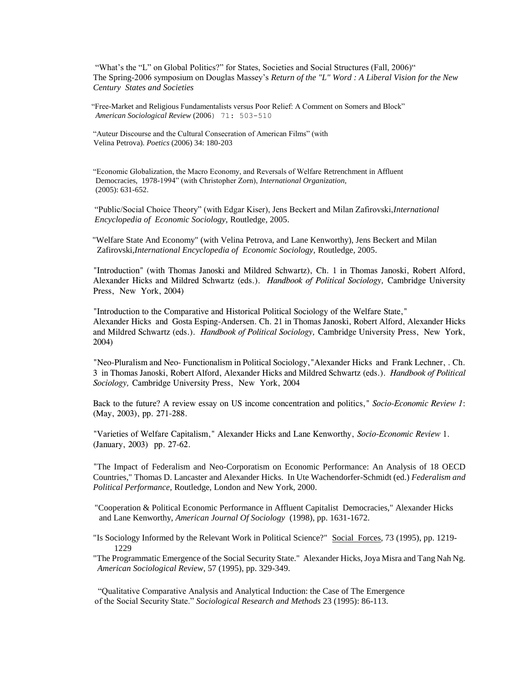"What's the "L" on Global Politics?" for States, Societies and Social Structures (Fall, 2006)" The Spring-2006 symposium on Douglas Massey's *Return of the "L" Word : A Liberal Vision for the New Century States and Societies*

 "Free-Market and Religious Fundamentalists versus Poor Relief: A Comment on Somers and Block" *American Sociological Review* (2006) 71: 503-510

 "Auteur Discourse and the Cultural Consecration of American Films" (with Velina Petrova). *Poetics* (2006) 34: 180-203

"Economic Globalization, the Macro Economy, and Reversals of Welfare Retrenchment in Affluent Democracies, 1978-1994" (with Christopher Zorn), *International Organization,*  (2005): 631-652.

 "Public/Social Choice Theory" (with Edgar Kiser), Jens Beckert and Milan Zafirovski,*International Encyclopedia of Economic Sociology,* Routledge*,* 2005.

 "Welfare State And Economy" (with Velina Petrova, and Lane Kenworthy), Jens Beckert and Milan Zafirovski,*International Encyclopedia of Economic Sociology,* Routledge*,* 2005.

"Introduction" (with Thomas Janoski and Mildred Schwartz), Ch. 1 in Thomas Janoski, Robert Alford, Alexander Hicks and Mildred Schwartz (eds.). *Handbook of Political Sociology,* Cambridge University Press, New York, 2004)

"Introduction to the Comparative and Historical Political Sociology of the Welfare State," Alexander Hicks and Gosta Esping-Andersen. Ch. 21 in Thomas Janoski, Robert Alford, Alexander Hicks and Mildred Schwartz (eds.). *Handbook of Political Sociology,* Cambridge University Press, New York, 2004)

"Neo-Pluralism and Neo- Functionalism in Political Sociology,"Alexander Hicks and Frank Lechner, . Ch. 3 in Thomas Janoski, Robert Alford, Alexander Hicks and Mildred Schwartz (eds.). *Handbook of Political Sociology,* Cambridge University Press, New York, 2004

Back to the future? A review essay on US income concentration and politics," *Socio-Economic Review 1*: (May, 2003), pp. 271-288.

"Varieties of Welfare Capitalism," Alexander Hicks and Lane Kenworthy, *Socio-Economic Review* 1. (January, 2003) pp. 27-62.

"The Impact of Federalism and Neo-Corporatism on Economic Performance: An Analysis of 18 OECD Countries," Thomas D. Lancaster and Alexander Hicks. In Ute Wachendorfer-Schmidt (ed.) *Federalism and Political Performance,* Routledge, London and New York, 2000.

 "Cooperation & Political Economic Performance in Affluent Capitalist Democracies," Alexander Hicks and Lane Kenworthy, *American Journal Of Sociology* (1998), pp. 1631-1672.

"Is Sociology Informed by the Relevant Work in Political Science?" Social Forces, 73 (1995), pp. 1219-1229

"The Programmatic Emergence of the Social Security State." Alexander Hicks, Joya Misra and Tang Nah Ng. *American Sociological Review*, 57 (1995), pp. 329-349.

 "Qualitative Comparative Analysis and Analytical Induction: the Case of The Emergence of the Social Security State." *Sociological Research and Methods* 23 (1995): 86-113.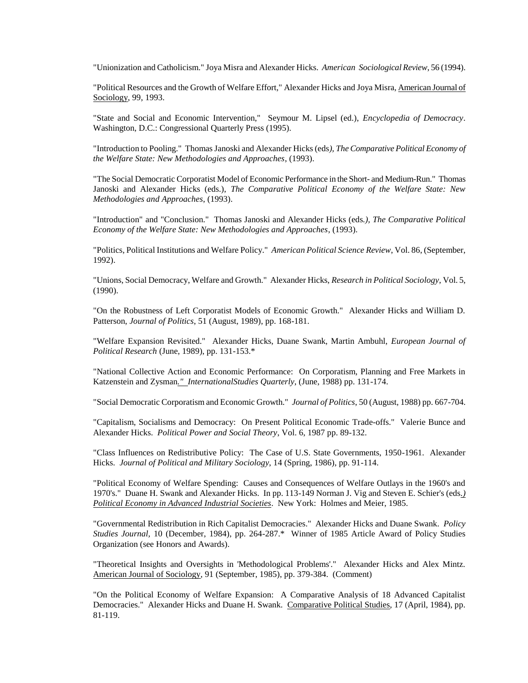"Unionization and Catholicism." Joya Misra and Alexander Hicks. *American Sociological Review*, 56 (1994).

"Political Resources and the Growth of Welfare Effort," Alexander Hicks and Joya Misra, American Journal of Sociology, 99, 1993.

"State and Social and Economic Intervention," Seymour M. Lipsel (ed.), *Encyclopedia of Democracy*. Washington, D.C.: Congressional Quarterly Press (1995).

"Introduction to Pooling." Thomas Janoski and Alexander Hicks (eds*), The Comparative Political Economy of the Welfare State: New Methodologies and Approaches*, (1993).

"The Social Democratic Corporatist Model of Economic Performance in the Short- and Medium-Run." Thomas Janoski and Alexander Hicks (eds.), *The Comparative Political Economy of the Welfare State: New Methodologies and Approaches*, (1993).

"Introduction" and "Conclusion." Thomas Janoski and Alexander Hicks (eds*.), The Comparative Political Economy of the Welfare State: New Methodologies and Approaches*, (1993).

"Politics, Political Institutions and Welfare Policy." *American Political Science Review*, Vol. 86, (September, 1992).

"Unions, Social Democracy, Welfare and Growth." Alexander Hicks, *Research in Political Sociology*, Vol. 5, (1990).

"On the Robustness of Left Corporatist Models of Economic Growth." Alexander Hicks and William D. Patterson, *Journal of Politics*, 51 (August, 1989), pp. 168-181.

"Welfare Expansion Revisited." Alexander Hicks, Duane Swank, Martin Ambuhl, *European Journal of Political Research* (June, 1989), pp. 131-153.\*

"National Collective Action and Economic Performance: On Corporatism, Planning and Free Markets in Katzenstein and Zysman*." InternationalStudies Quarterly*, (June, 1988) pp. 131-174.

"Social Democratic Corporatism and Economic Growth." *Journal of Politics*, 50 (August, 1988) pp. 667-704.

"Capitalism, Socialisms and Democracy: On Present Political Economic Trade-offs." Valerie Bunce and Alexander Hicks. *Political Power and Social Theory*, Vol. 6, 1987 pp. 89-132.

"Class Influences on Redistributive Policy: The Case of U.S. State Governments, 1950-1961. Alexander Hicks. *Journal of Political and Military Sociology*, 14 (Spring, 1986), pp. 91-114.

"Political Economy of Welfare Spending: Causes and Consequences of Welfare Outlays in the 1960's and 1970's." Duane H. Swank and Alexander Hicks. In pp. 113-149 Norman J. Vig and Steven E. Schier's (eds*.) Political Economy in Advanced Industrial Societies*. New York: Holmes and Meier, 1985.

"Governmental Redistribution in Rich Capitalist Democracies." Alexander Hicks and Duane Swank. *Policy Studies Journal,* 10 (December, 1984), pp. 264-287.\* Winner of 1985 Article Award of Policy Studies Organization (see Honors and Awards).

"Theoretical Insights and Oversights in 'Methodological Problems'." Alexander Hicks and Alex Mintz. American Journal of Sociology, 91 (September, 1985), pp. 379-384. (Comment)

"On the Political Economy of Welfare Expansion: A Comparative Analysis of 18 Advanced Capitalist Democracies." Alexander Hicks and Duane H. Swank. Comparative Political Studies, 17 (April, 1984), pp. 81-119.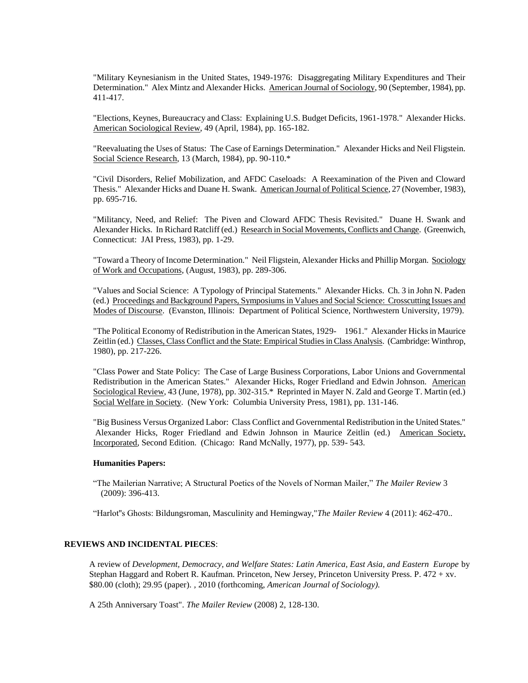"Military Keynesianism in the United States, 1949-1976: Disaggregating Military Expenditures and Their Determination." Alex Mintz and Alexander Hicks. American Journal of Sociology, 90 (September, 1984), pp. 411-417.

"Elections, Keynes, Bureaucracy and Class: Explaining U.S. Budget Deficits, 1961-1978." Alexander Hicks. American Sociological Review, 49 (April, 1984), pp. 165-182.

"Reevaluating the Uses of Status: The Case of Earnings Determination." Alexander Hicks and Neil Fligstein. Social Science Research, 13 (March, 1984), pp. 90-110.\*

"Civil Disorders, Relief Mobilization, and AFDC Caseloads: A Reexamination of the Piven and Cloward Thesis." Alexander Hicks and Duane H. Swank. American Journal of Political Science, 27 (November, 1983), pp. 695-716.

"Militancy, Need, and Relief: The Piven and Cloward AFDC Thesis Revisited." Duane H. Swank and Alexander Hicks. In Richard Ratcliff (ed.) Research in Social Movements, Conflicts and Change. (Greenwich, Connecticut: JAI Press, 1983), pp. 1-29.

"Toward a Theory of Income Determination." Neil Fligstein, Alexander Hicks and Phillip Morgan. Sociology of Work and Occupations, (August, 1983), pp. 289-306.

"Values and Social Science: A Typology of Principal Statements." Alexander Hicks. Ch. 3 in John N. Paden (ed.) Proceedings and Background Papers, Symposiums in Values and Social Science: Crosscutting Issues and Modes of Discourse. (Evanston, Illinois: Department of Political Science, Northwestern University, 1979).

"The Political Economy of Redistribution in the American States, 1929- 1961." Alexander Hicks in Maurice Zeitlin (ed.) Classes, Class Conflict and the State: Empirical Studies in Class Analysis. (Cambridge: Winthrop, 1980), pp. 217-226.

"Class Power and State Policy: The Case of Large Business Corporations, Labor Unions and Governmental Redistribution in the American States." Alexander Hicks, Roger Friedland and Edwin Johnson. American Sociological Review, 43 (June, 1978), pp. 302-315.\* Reprinted in Mayer N. Zald and George T. Martin (ed.) Social Welfare in Society. (New York: Columbia University Press, 1981), pp. 131-146.

"Big Business Versus Organized Labor: Class Conflict and Governmental Redistribution in the United States." Alexander Hicks, Roger Friedland and Edwin Johnson in Maurice Zeitlin (ed.) American Society, Incorporated, Second Edition. (Chicago: Rand McNally, 1977), pp. 539- 543.

## **Humanities Papers:**

"The Mailerian Narrative; A Structural Poetics of the Novels of Norman Mailer," *The Mailer Review* 3 (2009): 396-413.

"Harlot''s Ghosts: Bildungsroman, Masculinity and Hemingway,"*The Mailer Review* 4 (2011): 462-470..

### **REVIEWS AND INCIDENTAL PIECES**:

A review of *Development, Democracy, and Welfare States: Latin America, East Asia, and Eastern Europe* by Stephan Haggard and Robert R. Kaufman. Princeton, New Jersey, Princeton University Press. P. 472 + xv. \$80.00 (cloth); 29.95 (paper). *,* 2010 (forthcoming, *American Journal of Sociology).*

A 25th Anniversary Toast". *The Mailer Review* (2008) 2, 128-130.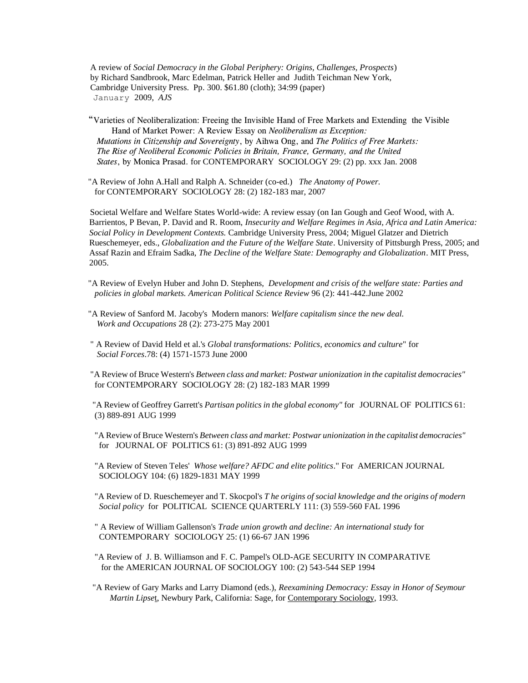A review of *Social Democracy in the Global Periphery: Origins, Challenges, Prospects*) by Richard Sandbrook, Marc Edelman, Patrick Heller and Judith Teichman New York, Cambridge University Press. Pp. 300. \$61.80 (cloth); 34:99 (paper) January 2009, *AJS*

 "Varieties of Neoliberalization: Freeing the Invisible Hand of Free Markets and Extending the Visible Hand of Market Power: A Review Essay on *Neoliberalism as Exception: Mutations in Citizenship and Sovereignty*, by Aihwa Ong, and *The Politics of Free Markets: The Rise of Neoliberal Economic Policies in Britain, France, Germany, and the United States*, by Monica Prasad. for CONTEMPORARY SOCIOLOGY 29: (2) pp. xxx Jan. 2008

 "A Review of John A.Hall and Ralph A. Schneider (co-ed.) *The Anatomy of Power.* for CONTEMPORARY SOCIOLOGY 28: (2) 182-183 mar, 2007

 Societal Welfare and Welfare States World-wide: A review essay (on Ian Gough and Geof Wood, with A. Barrientos, P Bevan, P. David and R. Room, *Insecurity and Welfare Regimes in Asia, Africa and Latin America: Social Policy in Development Contexts.* Cambridge University Press, 2004; Miguel Glatzer and Dietrich Rueschemeyer, eds., *Globalization and the Future of the Welfare State*. University of Pittsburgh Press, 2005; and Assaf Razin and Efraim Sadka, *The Decline of the Welfare State: Demography and Globalization*. MIT Press, 2005.

 "A Review of Evelyn Huber and John D. Stephens, *Development and crisis of the welfare state: Parties and policies in global markets. American Political Science Review* 96 (2): 441-442.June 2002

 "A Review of Sanford M. Jacoby's Modern manors: *Welfare capitalism since the new deal. Work and Occupations* 28 (2): 273-275 May 2001

 " A Review of David Held et al.'s *Global transformations: Politics, economics and culture*" for *Social Forces*.78: (4) 1571-1573 June 2000

 "A Review of Bruce Western's *Between class and market: Postwar unionization in the capitalist democracies"* for CONTEMPORARY SOCIOLOGY 28: (2) 182-183 MAR 1999

 "A Review of Geoffrey Garrett's *Partisan politics in the global economy"* for JOURNAL OF POLITICS 61: (3) 889-891 AUG 1999

 "A Review of Bruce Western's *Between class and market: Postwar unionization in the capitalist democracies"* for JOURNAL OF POLITICS 61: (3) 891-892 AUG 1999

 "A Review of Steven Teles' *Whose welfare? AFDC and elite politics*." For AMERICAN JOURNAL SOCIOLOGY 104: (6) 1829-1831 MAY 1999

 "A Review of D. Rueschemeyer and T. Skocpol's *T he origins of social knowledge and the origins of modern Social policy* for POLITICAL SCIENCE QUARTERLY 111: (3) 559-560 FAL 1996

 " A Review of William Gallenson's *Trade union growth and decline: An international study* for CONTEMPORARY SOCIOLOGY 25: (1) 66-67 JAN 1996

 "A Review of J. B. Williamson and F. C. Pampel's OLD-AGE SECURITY IN COMPARATIVE for the AMERICAN JOURNAL OF SOCIOLOGY 100: (2) 543-544 SEP 1994

 "A Review of Gary Marks and Larry Diamond (eds.), *Reexamining Democracy: Essay in Honor of Seymour Martin Lipse*t, Newbury Park, California: Sage, for Contemporary Sociology, 1993.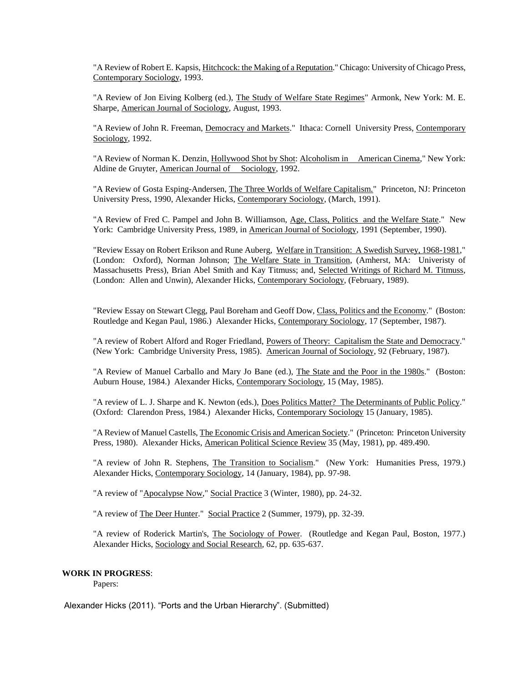"A Review of Robert E. Kapsis, Hitchcock: the Making of a Reputation." Chicago: University of Chicago Press, Contemporary Sociology, 1993.

"A Review of Jon Eiving Kolberg (ed.), The Study of Welfare State Regimes" Armonk, New York: M. E. Sharpe, American Journal of Sociology, August, 1993.

"A Review of John R. Freeman, Democracy and Markets." Ithaca: Cornell University Press, Contemporary Sociology, 1992.

"A Review of Norman K. Denzin, Hollywood Shot by Shot: Alcoholism in American Cinema," New York: Aldine de Gruyter, American Journal of Sociology, 1992.

"A Review of Gosta Esping-Andersen, The Three Worlds of Welfare Capitalism." Princeton, NJ: Princeton University Press, 1990, Alexander Hicks, Contemporary Sociology, (March, 1991).

"A Review of Fred C. Pampel and John B. Williamson, Age, Class, Politics and the Welfare State." New York: Cambridge University Press, 1989, in American Journal of Sociology, 1991 (September, 1990).

"Review Essay on Robert Erikson and Rune Auberg, Welfare in Transition: A Swedish Survey, 1968-1981," (London: Oxford), Norman Johnson; The Welfare State in Transition, (Amherst, MA: Univeristy of Massachusetts Press), Brian Abel Smith and Kay Titmuss; and, Selected Writings of Richard M. Titmuss, (London: Allen and Unwin), Alexander Hicks, Contemporary Sociology, (February, 1989).

"Review Essay on Stewart Clegg, Paul Boreham and Geoff Dow, Class, Politics and the Economy." (Boston: Routledge and Kegan Paul, 1986.) Alexander Hicks, Contemporary Sociology, 17 (September, 1987).

"A review of Robert Alford and Roger Friedland, Powers of Theory: Capitalism the State and Democracy." (New York: Cambridge University Press, 1985). American Journal of Sociology, 92 (February, 1987).

"A Review of Manuel Carballo and Mary Jo Bane (ed.), The State and the Poor in the 1980s." (Boston: Auburn House, 1984.) Alexander Hicks, Contemporary Sociology, 15 (May, 1985).

"A review of L. J. Sharpe and K. Newton (eds.), Does Politics Matter? The Determinants of Public Policy." (Oxford: Clarendon Press, 1984.) Alexander Hicks, Contemporary Sociology 15 (January, 1985).

"A Review of Manuel Castells, The Economic Crisis and American Society." (Princeton: Princeton University Press, 1980). Alexander Hicks, American Political Science Review 35 (May, 1981), pp. 489.490.

"A review of John R. Stephens, The Transition to Socialism." (New York: Humanities Press, 1979.) Alexander Hicks, Contemporary Sociology, 14 (January, 1984), pp. 97-98.

"A review of "Apocalypse Now," Social Practice 3 (Winter, 1980), pp. 24-32.

"A review of The Deer Hunter." Social Practice 2 (Summer, 1979), pp. 32-39.

"A review of Roderick Martin's, The Sociology of Power. (Routledge and Kegan Paul, Boston, 1977.) Alexander Hicks, Sociology and Social Research, 62, pp. 635-637.

# **WORK IN PROGRESS**:

Papers:

Alexander Hicks (2011). "Ports and the Urban Hierarchy". (Submitted)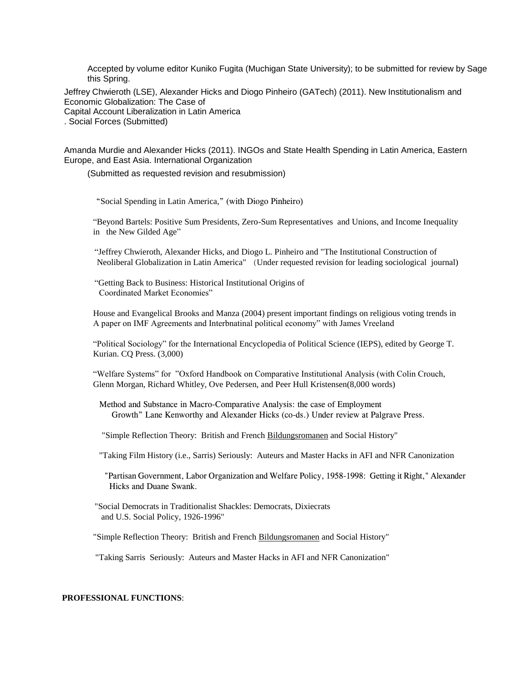Accepted by volume editor Kuniko Fugita (Muchigan State University); to be submitted for review by Sage this Spring.

Jeffrey Chwieroth (LSE), Alexander Hicks and Diogo Pinheiro (GATech) (2011). New Institutionalism and Economic Globalization: The Case of Capital Account Liberalization in Latin America

. Social Forces (Submitted)

Amanda Murdie and Alexander Hicks (2011). INGOs and State Health Spending in Latin America, Eastern Europe, and East Asia. International Organization

(Submitted as requested revision and resubmission)

"Social Spending in Latin America," (with Diogo Pinheiro)

"Beyond Bartels: Positive Sum Presidents, Zero-Sum Representatives and Unions, and Income Inequality in the New Gilded Age"

 "Jeffrey Chwieroth, Alexander Hicks, and Diogo L. Pinheiro and "The Institutional Construction of Neoliberal Globalization in Latin America" (Under requested revision for leading sociological journal)

 "Getting Back to Business: Historical Institutional Origins of Coordinated Market Economies"

House and Evangelical Brooks and Manza (2004) present important findings on religious voting trends in A paper on IMF Agreements and Interbnatinal political economy" with James Vreeland

"Political Sociology" for the International Encyclopedia of Political Science (IEPS), edited by George T. Kurian. CQ Press. (3,000)

"Welfare Systems" for "Oxford Handbook on Comparative Institutional Analysis (with Colin Crouch, Glenn Morgan, Richard Whitley, Ove Pedersen, and Peer Hull Kristensen(8,000 words)

 Method and Substance in Macro-Comparative Analysis: the case of Employment Growth" Lane Kenworthy and Alexander Hicks (co-ds.) Under review at Palgrave Press.

"Simple Reflection Theory: British and French Bildungsromanen and Social History"

"Taking Film History (i.e., Sarris) Seriously: Auteurs and Master Hacks in AFI and NFR Canonization

 "Partisan Government, Labor Organization and Welfare Policy, 1958-1998: Getting it Right," Alexander Hicks and Duane Swank.

 "Social Democrats in Traditionalist Shackles: Democrats, Dixiecrats and U.S. Social Policy, 1926-1996"

"Simple Reflection Theory: British and French Bildungsromanen and Social History"

"Taking Sarris Seriously: Auteurs and Master Hacks in AFI and NFR Canonization"

# **PROFESSIONAL FUNCTIONS**: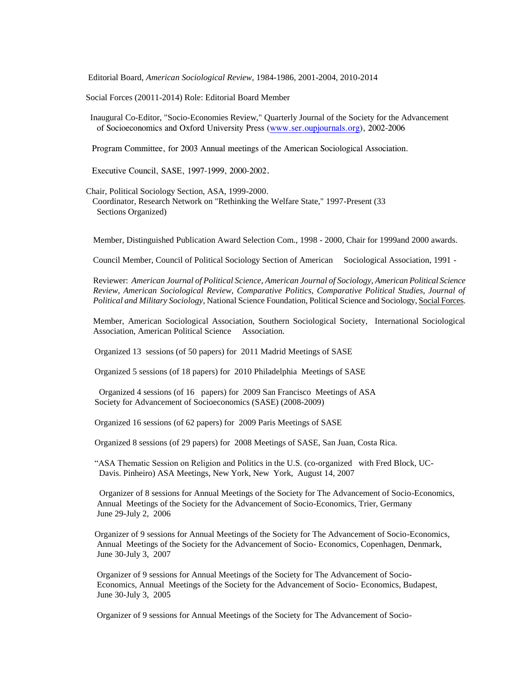Editorial Board, *American Sociological Review*, 1984-1986, 2001-2004, 2010-2014

Social Forces (20011-2014) Role: Editorial Board Member

 Inaugural Co-Editor, "Socio-Economies Review," Quarterly Journal of the Society for the Advancement of Socioeconomics and Oxford University Press [\(www.ser.oupjournals.org\)](http://www.ser.oupjournals.org/), 2002-2006

Program Committee, for 2003 Annual meetings of the American Sociological Association.

Executive Council, SASE, 1997-1999, 2000-2002.

Chair, Political Sociology Section, ASA, 1999-2000.

 Coordinator, Research Network on "Rethinking the Welfare State," 1997-Present (33 Sections Organized)

Member, Distinguished Publication Award Selection Com., 1998 - 2000, Chair for 1999and 2000 awards.

Council Member, Council of Political Sociology Section of American Sociological Association, 1991 -

Reviewer: *American Journal of Political Science, American Journal of Sociology, American Political Science Review, American Sociological Review, Comparative Politics, Comparative Political Studies, Journal of Political and Military Sociology*, National Science Foundation, Political Science and Sociology, Social Forces.

Member, American Sociological Association, Southern Sociological Society, International Sociological Association, American Political Science Association.

Organized 13 sessions (of 50 papers) for 2011 Madrid Meetings of SASE

Organized 5 sessions (of 18 papers) for 2010 Philadelphia Meetings of SASE

Organized 4 sessions (of 16 papers) for 2009 San Francisco Meetings of ASA Society for Advancement of Socioeconomics (SASE) (2008-2009)

Organized 16 sessions (of 62 papers) for 2009 Paris Meetings of SASE

Organized 8 sessions (of 29 papers) for 2008 Meetings of SASE, San Juan, Costa Rica.

"ASA Thematic Session on Religion and Politics in the U.S. (co-organized with Fred Block, UC- Davis. Pinheiro) ASA Meetings, New York, New York, August 14, 2007

Organizer of 8 sessions for Annual Meetings of the Society for The Advancement of Socio-Economics, Annual Meetings of the Society for the Advancement of Socio-Economics, Trier, Germany June 29-July 2, 2006

 Organizer of 9 sessions for Annual Meetings of the Society for The Advancement of Socio-Economics, Annual Meetings of the Society for the Advancement of Socio- Economics, Copenhagen, Denmark, June 30-July 3, 2007

 Organizer of 9 sessions for Annual Meetings of the Society for The Advancement of Socio- Economics, Annual Meetings of the Society for the Advancement of Socio- Economics, Budapest, June 30-July 3, 2005

Organizer of 9 sessions for Annual Meetings of the Society for The Advancement of Socio-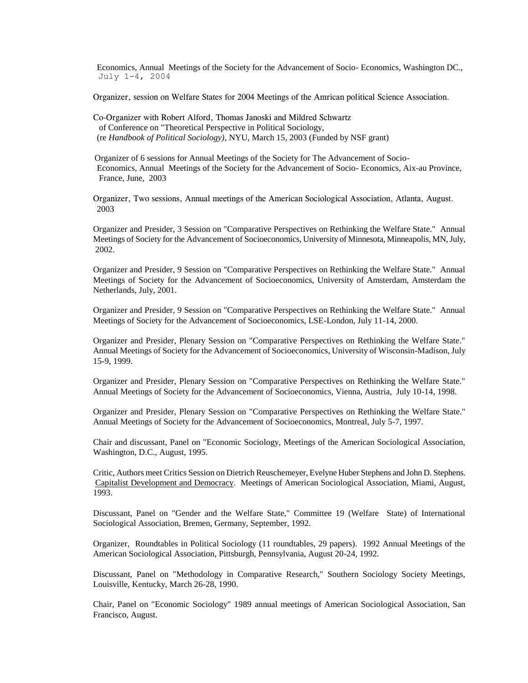Economics, Annual Meetings of the Society for the Advancement of Socio- Economics, Washington DC., July 1-4, 2004

Organizer, session on Welfare States for 2004 Meetings of the Amrican political Science Association.

Co-Organizer with Robert Alford, Thomas Janoski and Mildred Schwartz of Conference on "Theoretical Perspective in Political Sociology, (re *Handbook of Political Sociology)*, NYU, March 15, 2003 (Funded by NSF grant)

 Organizer of 6 sessions for Annual Meetings of the Society for The Advancement of Socio- Economics, Annual Meetings of the Society for the Advancement of Socio- Economics, Aix-au Province, France, June, 2003

Organizer, Two sessions, Annual meetings of the American Sociological Association, Atlanta, August. 2003

Organizer and Presider, 3 Session on "Comparative Perspectives on Rethinking the Welfare State." Annual Meetings of Society for the Advancement of Socioeconomics, University of Minnesota, Minneapolis, MN, July, 2002.

Organizer and Presider, 9 Session on "Comparative Perspectives on Rethinking the Welfare State." Annual Meetings of Society for the Advancement of Socioeconomics, University of Amsterdam, Amsterdam the Netherlands, July, 2001.

Organizer and Presider, 9 Session on "Comparative Perspectives on Rethinking the Welfare State." Annual Meetings of Society for the Advancement of Socioeconomics, LSE-London, July 11-14, 2000.

Organizer and Presider, Plenary Session on "Comparative Perspectives on Rethinking the Welfare State." Annual Meetings of Society for the Advancement of Socioeconomics, University of Wisconsin-Madison, July 15-9, 1999.

Organizer and Presider, Plenary Session on "Comparative Perspectives on Rethinking the Welfare State." Annual Meetings of Society for the Advancement of Socioeconomics, Vienna, Austria, July 10-14, 1998.

Organizer and Presider, Plenary Session on "Comparative Perspectives on Rethinking the Welfare State." Annual Meetings of Society for the Advancement of Socioeconomics, Montreal, July 5-7, 1997.

Chair and discussant, Panel on "Economic Sociology, Meetings of the American Sociological Association, Washington, D.C., August, 1995.

Critic, Authors meet Critics Session on Dietrich Reuschemeyer, Evelyne Huber Stephens and John D. Stephens. Capitalist Development and Democracy. Meetings of American Sociological Association, Miami, August, 1993.

Discussant, Panel on "Gender and the Welfare State," Committee 19 (Welfare State) of International Sociological Association, Bremen, Germany, September, 1992.

Organizer, Roundtables in Political Sociology (11 roundtables, 29 papers). 1992 Annual Meetings of the American Sociological Association, Pittsburgh, Pennsylvania, August 20-24, 1992.

Discussant, Panel on "Methodology in Comparative Research," Southern Sociology Society Meetings, Louisville, Kentucky, March 26-28, 1990.

Chair, Panel on "Economic Sociology" 1989 annual meetings of American Sociological Association, San Francisco, August.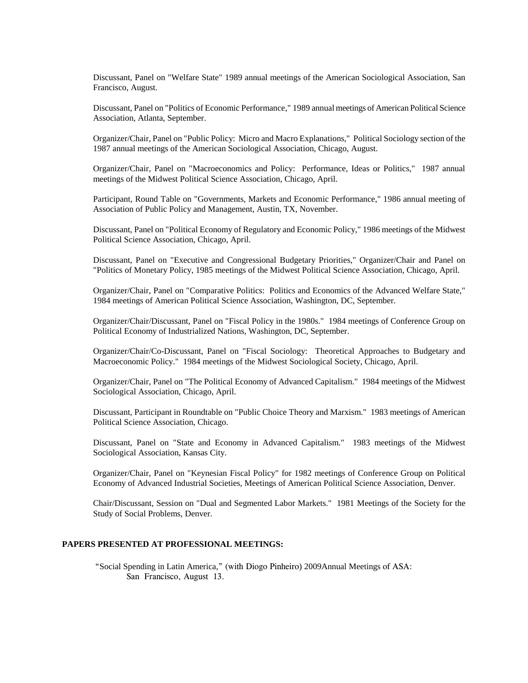Discussant, Panel on "Welfare State" 1989 annual meetings of the American Sociological Association, San Francisco, August.

Discussant, Panel on "Politics of Economic Performance," 1989 annual meetings of American Political Science Association, Atlanta, September.

Organizer/Chair, Panel on "Public Policy: Micro and Macro Explanations," Political Sociology section of the 1987 annual meetings of the American Sociological Association, Chicago, August.

Organizer/Chair, Panel on "Macroeconomics and Policy: Performance, Ideas or Politics," 1987 annual meetings of the Midwest Political Science Association, Chicago, April.

Participant, Round Table on "Governments, Markets and Economic Performance," 1986 annual meeting of Association of Public Policy and Management, Austin, TX, November.

Discussant, Panel on "Political Economy of Regulatory and Economic Policy," 1986 meetings of the Midwest Political Science Association, Chicago, April.

Discussant, Panel on "Executive and Congressional Budgetary Priorities," Organizer/Chair and Panel on "Politics of Monetary Policy, 1985 meetings of the Midwest Political Science Association, Chicago, April.

Organizer/Chair, Panel on "Comparative Politics: Politics and Economics of the Advanced Welfare State," 1984 meetings of American Political Science Association, Washington, DC, September.

Organizer/Chair/Discussant, Panel on "Fiscal Policy in the 1980s." 1984 meetings of Conference Group on Political Economy of Industrialized Nations, Washington, DC, September.

Organizer/Chair/Co-Discussant, Panel on "Fiscal Sociology: Theoretical Approaches to Budgetary and Macroeconomic Policy." 1984 meetings of the Midwest Sociological Society, Chicago, April.

Organizer/Chair, Panel on "The Political Economy of Advanced Capitalism." 1984 meetings of the Midwest Sociological Association, Chicago, April.

Discussant, Participant in Roundtable on "Public Choice Theory and Marxism." 1983 meetings of American Political Science Association, Chicago.

Discussant, Panel on "State and Economy in Advanced Capitalism." 1983 meetings of the Midwest Sociological Association, Kansas City.

Organizer/Chair, Panel on "Keynesian Fiscal Policy" for 1982 meetings of Conference Group on Political Economy of Advanced Industrial Societies, Meetings of American Political Science Association, Denver.

Chair/Discussant, Session on "Dual and Segmented Labor Markets." 1981 Meetings of the Society for the Study of Social Problems, Denver.

## **PAPERS PRESENTED AT PROFESSIONAL MEETINGS:**

 "Social Spending in Latin America," (with Diogo Pinheiro) 2009Annual Meetings of ASA: San Francisco, August 13.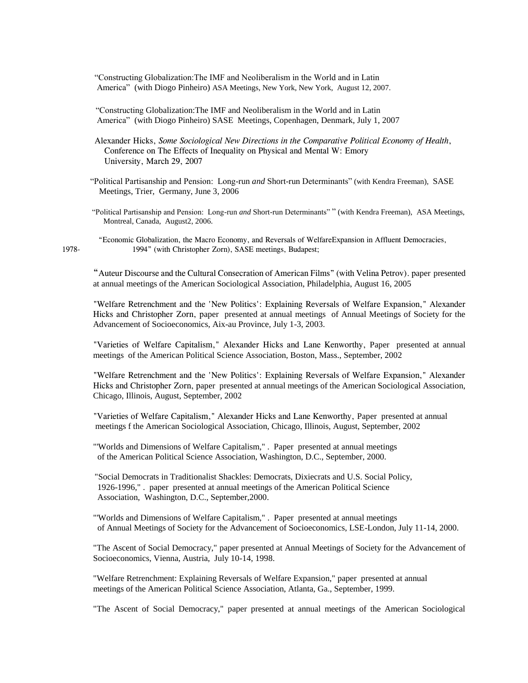"Constructing Globalization:The IMF and Neoliberalism in the World and in Latin America" (with Diogo Pinheiro) ASA Meetings, New York, New York, August 12, 2007.

"Constructing Globalization:The IMF and Neoliberalism in the World and in Latin America" (with Diogo Pinheiro) SASE Meetings, Copenhagen, Denmark, July 1, 2007

Alexander Hicks, *Some Sociological New Directions in the Comparative Political Economy of Health*, Conference on The Effects of Inequality on Physical and Mental W: Emory University, March 29, 2007

"Political Partisanship and Pension: Long-run *and* Short-run Determinants" (with Kendra Freeman), SASE Meetings, Trier, Germany, June 3, 2006

 "Political Partisanship and Pension: Long-run *and* Short-run Determinants" " (with Kendra Freeman), ASA Meetings, Montreal, Canada, August2, 2006.

 "Economic Globalization, the Macro Economy, and Reversals of WelfareExpansion in Affluent Democracies, 1978- 1994" (with Christopher Zorn), SASE meetings, Budapest;

"Auteur Discourse and the Cultural Consecration of American Films" (with Velina Petrov). paper presented at annual meetings of the American Sociological Association, Philadelphia, August 16, 2005

"Welfare Retrenchment and the 'New Politics': Explaining Reversals of Welfare Expansion," Alexander Hicks and Christopher Zorn, paper presented at annual meetings of Annual Meetings of Society for the Advancement of Socioeconomics, Aix-au Province, July 1-3, 2003.

"Varieties of Welfare Capitalism," Alexander Hicks and Lane Kenworthy, Paper presented at annual meetings of the American Political Science Association, Boston, Mass., September, 2002

"Welfare Retrenchment and the 'New Politics': Explaining Reversals of Welfare Expansion," Alexander Hicks and Christopher Zorn, paper presented at annual meetings of the American Sociological Association, Chicago, Illinois, August, September, 2002

"Varieties of Welfare Capitalism," Alexander Hicks and Lane Kenworthy, Paper presented at annual meetings f the American Sociological Association, Chicago, Illinois, August, September, 2002

"'Worlds and Dimensions of Welfare Capitalism," . Paper presented at annual meetings of the American Political Science Association, Washington, D.C., September, 2000.

 "Social Democrats in Traditionalist Shackles: Democrats, Dixiecrats and U.S. Social Policy, 1926-1996," . paper presented at annual meetings of the American Political Science Association, Washington, D.C., September,2000.

"'Worlds and Dimensions of Welfare Capitalism," . Paper presented at annual meetings of Annual Meetings of Society for the Advancement of Socioeconomics, LSE-London, July 11-14, 2000.

"The Ascent of Social Democracy," paper presented at Annual Meetings of Society for the Advancement of Socioeconomics, Vienna, Austria, July 10-14, 1998.

"Welfare Retrenchment: Explaining Reversals of Welfare Expansion," paper presented at annual meetings of the American Political Science Association, Atlanta, Ga., September, 1999.

"The Ascent of Social Democracy," paper presented at annual meetings of the American Sociological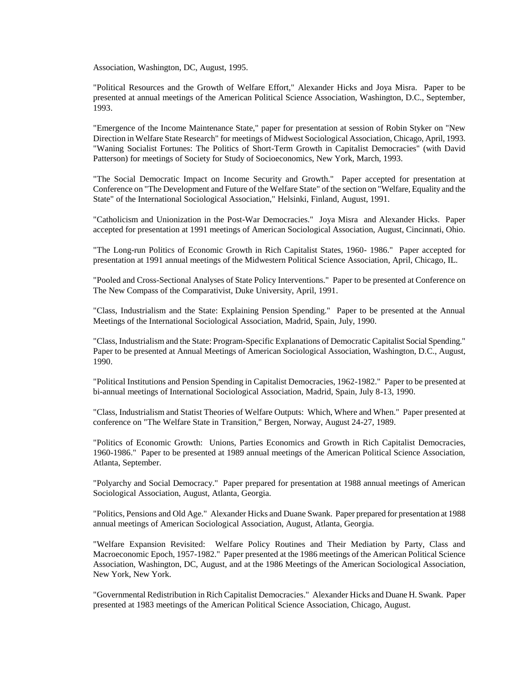Association, Washington, DC, August, 1995.

"Political Resources and the Growth of Welfare Effort," Alexander Hicks and Joya Misra. Paper to be presented at annual meetings of the American Political Science Association, Washington, D.C., September, 1993.

"Emergence of the Income Maintenance State," paper for presentation at session of Robin Styker on "New Direction in Welfare State Research" for meetings of Midwest Sociological Association, Chicago, April, 1993. "Waning Socialist Fortunes: The Politics of Short-Term Growth in Capitalist Democracies" (with David Patterson) for meetings of Society for Study of Socioeconomics, New York, March, 1993.

"The Social Democratic Impact on Income Security and Growth." Paper accepted for presentation at Conference on "The Development and Future of the Welfare State" of the section on "Welfare, Equality and the State" of the International Sociological Association," Helsinki, Finland, August, 1991.

"Catholicism and Unionization in the Post-War Democracies." Joya Misra and Alexander Hicks. Paper accepted for presentation at 1991 meetings of American Sociological Association, August, Cincinnati, Ohio.

"The Long-run Politics of Economic Growth in Rich Capitalist States, 1960- 1986." Paper accepted for presentation at 1991 annual meetings of the Midwestern Political Science Association, April, Chicago, IL.

"Pooled and Cross-Sectional Analyses of State Policy Interventions." Paper to be presented at Conference on The New Compass of the Comparativist, Duke University, April, 1991.

"Class, Industrialism and the State: Explaining Pension Spending." Paper to be presented at the Annual Meetings of the International Sociological Association, Madrid, Spain, July, 1990.

"Class, Industrialism and the State: Program-Specific Explanations of Democratic Capitalist Social Spending." Paper to be presented at Annual Meetings of American Sociological Association, Washington, D.C., August, 1990.

"Political Institutions and Pension Spending in Capitalist Democracies, 1962-1982." Paper to be presented at bi-annual meetings of International Sociological Association, Madrid, Spain, July 8-13, 1990.

"Class, Industrialism and Statist Theories of Welfare Outputs: Which, Where and When." Paper presented at conference on "The Welfare State in Transition," Bergen, Norway, August 24-27, 1989.

"Politics of Economic Growth: Unions, Parties Economics and Growth in Rich Capitalist Democracies, 1960-1986." Paper to be presented at 1989 annual meetings of the American Political Science Association, Atlanta, September.

"Polyarchy and Social Democracy." Paper prepared for presentation at 1988 annual meetings of American Sociological Association, August, Atlanta, Georgia.

"Politics, Pensions and Old Age." Alexander Hicks and Duane Swank. Paper prepared for presentation at 1988 annual meetings of American Sociological Association, August, Atlanta, Georgia.

"Welfare Expansion Revisited: Welfare Policy Routines and Their Mediation by Party, Class and Macroeconomic Epoch, 1957-1982." Paper presented at the 1986 meetings of the American Political Science Association, Washington, DC, August, and at the 1986 Meetings of the American Sociological Association, New York, New York.

"Governmental Redistribution in Rich Capitalist Democracies." Alexander Hicks and Duane H. Swank. Paper presented at 1983 meetings of the American Political Science Association, Chicago, August.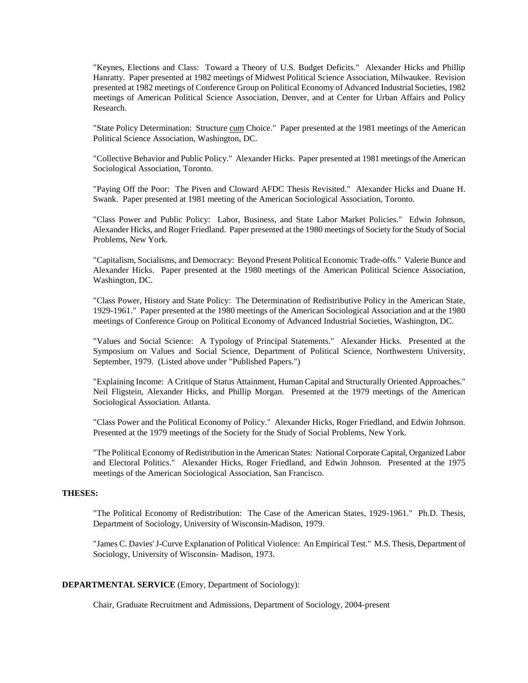"Keynes, Elections and Class: Toward a Theory of U.S. Budget Deficits." Alexander Hicks and Phillip Hanratty. Paper presented at 1982 meetings of Midwest Political Science Association, Milwaukee. Revision presented at 1982 meetings of Conference Group on Political Economy of Advanced Industrial Societies, 1982 meetings of American Political Science Association, Denver, and at Center for Urban Affairs and Policy Research.

"State Policy Determination: Structure cum Choice." Paper presented at the 1981 meetings of the American Political Science Association, Washington, DC.

"Collective Behavior and Public Policy." Alexander Hicks. Paper presented at 1981 meetings of the American Sociological Association, Toronto.

"Paying Off the Poor: The Piven and Cloward AFDC Thesis Revisited." Alexander Hicks and Duane H. Swank. Paper presented at 1981 meeting of the American Sociological Association, Toronto.

"Class Power and Public Policy: Labor, Business, and State Labor Market Policies." Edwin Johnson, Alexander Hicks, and Roger Friedland. Paper presented at the 1980 meetings of Society for the Study of Social Problems, New York.

"Capitalism, Socialisms, and Democracy: Beyond Present Political Economic Trade-offs." Valerie Bunce and Alexander Hicks. Paper presented at the 1980 meetings of the American Political Science Association, Washington, DC.

"Class Power, History and State Policy: The Determination of Redistributive Policy in the American State, 1929-1961." Paper presented at the 1980 meetings of the American Sociological Association and at the 1980 meetings of Conference Group on Political Economy of Advanced Industrial Societies, Washington, DC.

"Values and Social Science: A Typology of Principal Statements." Alexander Hicks. Presented at the Symposium on Values and Social Science, Department of Political Science, Northwestern University, September, 1979. (Listed above under "Published Papers.")

"Explaining Income: A Critique of Status Attainment, Human Capital and Structurally Oriented Approaches." Neil Fligstein, Alexander Hicks, and Phillip Morgan. Presented at the 1979 meetings of the American Sociological Association. Atlanta.

"Class Power and the Political Economy of Policy." Alexander Hicks, Roger Friedland, and Edwin Johnson. Presented at the 1979 meetings of the Society for the Study of Social Problems, New York.

"The Political Economy of Redistribution in the American States: National Corporate Capital, Organized Labor and Electoral Politics." Alexander Hicks, Roger Friedland, and Edwin Johnson. Presented at the 1975 meetings of the American Sociological Association, San Francisco.

# **THESES:**

"The Political Economy of Redistribution: The Case of the American States, 1929-1961." Ph.D. Thesis, Department of Sociology, University of Wisconsin-Madison, 1979.

"James C. Davies' J-Curve Explanation of Political Violence: An Empirical Test." M.S. Thesis, Department of Sociology, University of Wisconsin- Madison, 1973.

# **DEPARTMENTAL SERVICE** (Emory, Department of Sociology):

Chair, Graduate Recruitment and Admissions, Department of Sociology, 2004-present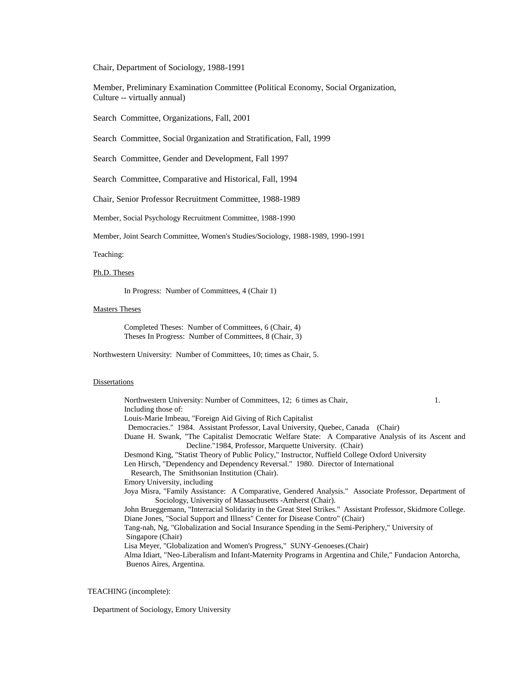Chair, Department of Sociology, 1988-1991

Member, Preliminary Examination Committee (Political Economy, Social Organization, Culture -- virtually annual)

Search Committee, Organizations, Fall, 2001

Search Committee, Social 0rganization and Stratification, Fall, 1999

Search Committee, Gender and Development, Fall 1997

Search Committee, Comparative and Historical, Fall, 1994

Chair, Senior Professor Recruitment Committee, 1988-1989

Member, Social Psychology Recruitment Committee, 1988-1990

Member, Joint Search Committee, Women's Studies/Sociology, 1988-1989, 1990-1991

#### Teaching:

## Ph.D. Theses

In Progress: Number of Committees, 4 (Chair 1)

#### Masters Theses

Completed Theses: Number of Committees, 6 (Chair, 4) Theses In Progress: Number of Committees, 8 (Chair, 3)

Northwestern University: Number of Committees, 10; times as Chair, 5.

#### **Dissertations**

Northwestern University: Number of Committees, 12; 6 times as Chair, 1. Including those of: Louis-Marie Imbeau, "Foreign Aid Giving of Rich Capitalist Democracies." 1984. Assistant Professor, Laval University, Quebec, Canada (Chair) Duane H. Swank, "The Capitalist Democratic Welfare State: A Comparative Analysis of its Ascent and Decline."1984, Professor, Marquette University. (Chair) Desmond King, "Statist Theory of Public Policy," Instructor, Nuffield College Oxford University Len Hirsch, "Dependency and Dependency Reversal." 1980. Director of International Research, The Smithsonian Institution (Chair). Emory University, including Joya Misra, "Family Assistance: A Comparative, Gendered Analysis." Associate Professor, Department of Sociology, University of Massachusetts -Amherst (Chair). John Brueggemann, "Interracial Solidarity in the Great Steel Strikes." Assistant Professor, Skidmore College. Diane Jones, "Social Support and Illness" Center for Disease Contro" (Chair) Tang-nah, Ng, "Globalization and Social Insurance Spending in the Semi-Periphery," University of Singapore (Chair) Lisa Meyer, "Globalization and Women's Progress," SUNY-Genoeses.(Chair) Alma Idiart, "Neo-Liberalism and Infant-Maternity Programs in Argentina and Chile," Fundacion Antorcha, Buenos Aires, Argentina.

## TEACHING (incomplete):

Department of Sociology, Emory University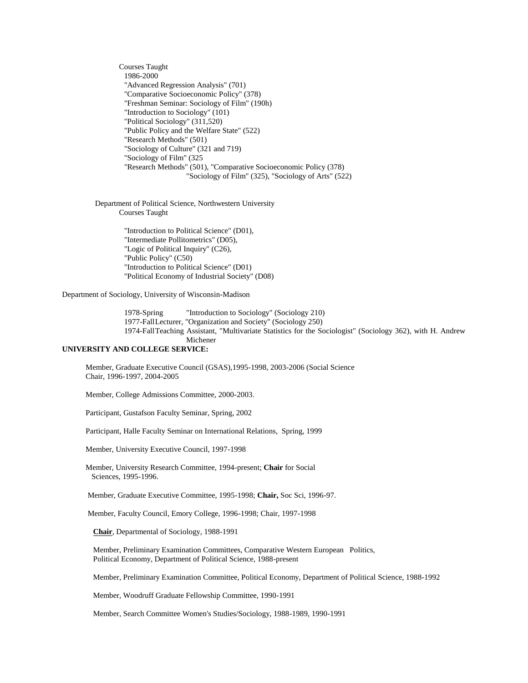Courses Taught 1986-2000 "Advanced Regression Analysis" (701) "Comparative Socioeconomic Policy" (378) "Freshman Seminar: Sociology of Film" (190h) "Introduction to Sociology" (101) "Political Sociology" (311,520) "Public Policy and the Welfare State" (522) "Research Methods" (501) "Sociology of Culture" (321 and 719) "Sociology of Film" (325 "Research Methods" (501), "Comparative Socioeconomic Policy (378) "Sociology of Film" (325), "Sociology of Arts" (522)

Department of Political Science, Northwestern University Courses Taught

> "Introduction to Political Science" (D01), "Intermediate Pollitometrics" (D05), "Logic of Political Inquiry" (C26), "Public Policy" (C50) "Introduction to Political Science" (D01) "Political Economy of Industrial Society" (D08)

Department of Sociology, University of Wisconsin-Madison

1978-Spring "Introduction to Sociology" (Sociology 210) 1977-FallLecturer, "Organization and Society" (Sociology 250) 1974-FallTeaching Assistant, "Multivariate Statistics for the Sociologist" (Sociology 362), with H. Andrew Michener

# **UNIVERSITY AND COLLEGE SERVICE:**

 Member, Graduate Executive Council (GSAS),1995-1998, 2003-2006 (Social Science Chair, 1996-1997, 2004-2005

Member, College Admissions Committee, 2000-2003.

Participant, Gustafson Faculty Seminar, Spring, 2002

Participant, Halle Faculty Seminar on International Relations, Spring, 1999

Member, University Executive Council, 1997-1998

 Member, University Research Committee, 1994-present; **Chair** for Social Sciences, 1995-1996.

Member, Graduate Executive Committee, 1995-1998; **Chair,** Soc Sci, 1996-97.

Member, Faculty Council, Emory College, 1996-1998; Chair, 1997-1998

**Chair**, Departmental of Sociology, 1988-1991

Member, Preliminary Examination Committees, Comparative Western European Politics, Political Economy, Department of Political Science, 1988-present

Member, Preliminary Examination Committee, Political Economy, Department of Political Science, 1988-1992

Member, Woodruff Graduate Fellowship Committee, 1990-1991

Member, Search Committee Women's Studies/Sociology, 1988-1989, 1990-1991